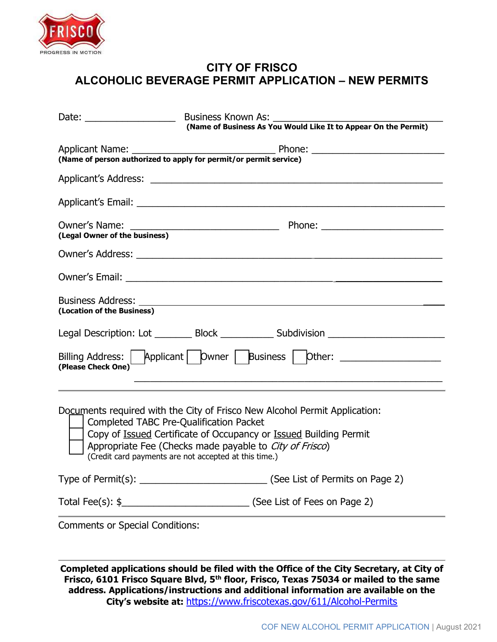

## CITY OF FRISCO ALCOHOLIC BEVERAGE PERMIT APPLICATION – NEW PERMITS

|                                                | (Name of Business As You Would Like It to Appear On the Permit)                                                                                 |
|------------------------------------------------|-------------------------------------------------------------------------------------------------------------------------------------------------|
|                                                |                                                                                                                                                 |
|                                                |                                                                                                                                                 |
|                                                |                                                                                                                                                 |
|                                                |                                                                                                                                                 |
|                                                |                                                                                                                                                 |
|                                                |                                                                                                                                                 |
| (Location of the Business)                     |                                                                                                                                                 |
|                                                | Legal Description: Lot __________ Block _____________ Subdivision _______________                                                               |
| (Please Check One)                             | Billing Address: Applicant   Owner   Business   Other: _________________                                                                        |
| <b>Completed TABC Pre-Qualification Packet</b> | Documents required with the City of Frisco New Alcohol Permit Application:<br>Copy of Issued Certificate of Occupancy or Issued Building Permit |

Appropriate Fee (Checks made payable to *City of Frisco*)

(Credit card payments are not accepted at this time.)

| Type of Permit(s): | (See List of Permits on Page 2) |
|--------------------|---------------------------------|
|--------------------|---------------------------------|

Total Fee(s): \$\_\_\_\_\_\_\_\_\_\_\_\_\_\_\_\_\_\_\_\_\_\_\_\_\_\_\_\_\_\_\_\_(See List of Fees on Page 2)

Comments or Special Conditions:

Completed applications should be filed with the Office of the City Secretary, at City of Frisco, 6101 Frisco Square Blvd, 5<sup>th</sup> floor, Frisco, Texas 75034 or mailed to the same address. Applications/instructions and additional information are available on the City's website at: https://www.friscotexas.gov/611/Alcohol-Permits